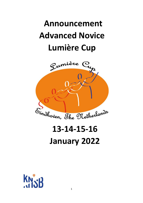# **Announcement Advanced Novice Lumière Cup**



## **13-14-15-16 January 2022**

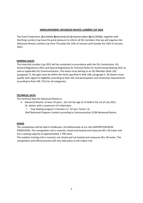#### **ANNOUNCEMENT ADVANCED NOVICE LUMIÈRE CUP 2022**

The Dutch Federation, **K**oninklijke **N**ederlandsche **S**chaatsenrijders **B**ond (KNSB), together with Stichting Lumière Cup have the great pleasure to inform all ISU members that we will organise the Advanced Novice Lumière Cup from Thursday the 13th of January until Sunday the 16th of January 2022.

#### **GENERAL RULES**

The Interclub Lumière Cup 2022 will be conducted in accordance with the ISU Constitution, ISU General Regulations 2021 and Special Regulations & Technical Rules for Synchronized Skating 2021 as well as applicable ISU Communications. The teams must belong to an ISU Member (Rule 130, paragraph 7), the ages must be within the limits specified in Rule 108, paragraph 3. All skaters must qualify with regard to eligibility according to Rule 102 and participation and citizenship requirements according to Rule 109. (This for all categories).

#### **TECHNICAL DATA**

The technical data for Advanced Novice is:

- ➢ Advanced Novice: at least 10 years , but not the age of 15 before the 1st of July 2021,
	- 16 skaters with a maximum of 4 alternates.
	- Free Skating program 3 minutes (+/- 10 sec) Factor 1.6

Well Balanced Program Content according to Communication 2238 Advanced Novice

#### **VENUE**

The competition will be held in Eindhoven, the Netherlands at ice rink IJSSPORTCENTRUM EINDHOVEN. The competition rink is covered, closed and heated and measures 60 x 30 meter and has a seating capacity of approximately 1.700 seats.

The outdoor training rink is covered, not closed and not heated and measures 60 x 30 meter. The competition and official practice will only take place at the indoor rink.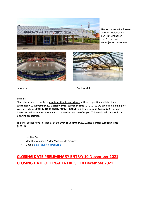

IJssportcentrum Eindhoven Antoon Coolenlaan 3 5644 RX Eindhoven The Netherlands www.ijssportcentrum.nl





Indoor rink Outdoor rink

#### **ENTRIES**

Please be so kind to notify us **your intention to participate** at the competition not later than **Wednesday 10 November 2021 23:59 Central European Time (UTC+1)**, so we can begin planning for your attendance **(PRELIMINARY ENTRY FORM – FORM 1)**. ). Please also fill **Appendix A** if you are interested in information about any of the services we can offer you. This would help us a lot in our planning preparation.

The final entries have to reach us at the **10th of December 2021 23:59 Central European Time (UTC+1).**

- Lumière Cup
- Mrs. Ellie van Soest / Mrs. Monique de Brouwer
- E-mail[: lumierecup@hotmail.com](mailto:lumierecup@hotmail.com)

### **CLOSING DATE PRELIMINARY ENTRY: 10 November 2021 CLOSING DATE OF FINAL ENTRIES : 10 December 2021**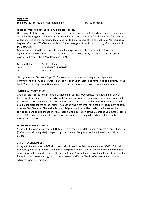#### **ENTRY FEE**

The entry fee for Free Skating program only  $\mathbf{F} \in \mathcal{F}$  =  $\mathcal{F}$  + 450 per team

These entry fees do not include any extra practice ice.

The payment of the entry fee must be received on the bank account of Stichting Lumière Cup latest at the final closing date of entries at **10 December 2021** by credit transfer (the bank draft expenses will be charged to the registering teams and not to the organiser of the competition). No refunds can be given after the 10<sup>th</sup> of December 2021. The team registration will be valid only after payment of the entry fee.

Teams which sent in the pre-entry in an earlier stage are urgently requested to inform the organisation if the team will not participate in the end. Please notify the organisation as soon as possible but before the 10<sup>th</sup> of December 2021.

| Account Holder: |              | Stichting Lumière Cup |
|-----------------|--------------|-----------------------|
| <b>IBAN</b>     | ٠<br>$\cdot$ | NL84RABO0334619637    |
| <b>BIC</b>      | ٠            | RABONL2U              |

Clearly point out: "Lumière Cup 2022", the name of the team and category in all payments. Commissions and any bank transaction fees will be at your charge and have to be paid directly to the bank. The organizing committee must receive the net amount of above mentioned entry fees.

#### **UNOFFICIAL PRACTICE ICE**

Unofficial practice ice for all teams is available on Tuesday, Wednesday, Thursday, and Friday, at IJssportcentrum Eindhoven. For earlier or later unofficial practice ice please contact us. It is possible to reserve practice ice per block of 15 minutes. Costs are € 70,00 per block for the indoor rink and € 50,00 per block for the outdoor rink. The outside rink is covered, not closed. Measurement of both rinks are 60 x 30 meter. The available unofficial practice time will be divided on first come, first served base and can be changed for any reason at the discretion of the Organizing Committee. Please use FORM 5 to order any practice ice. Extra practice ice must be paid in advance directly after reservation request.

#### **PROGRAM CONTENT SHEETS**

Along with the official entry form (FORM 2), teams should send the planned program content sheets (FORM 6a for all categories) one per program. Planned Programs can be adjusted after official practice.

#### **LIST OF TEAM MEMBERS**

Along with the entry form (FORM 2), teams should send the list of team members (FORM 3 for all categories), one per program. The national passport for each skater of the teams taking part in the competition will be checked during the accreditation. Any skater who is not a national of the country for which they are competing, must have a release certificate. The list of team members can be adjusted upon accreditation.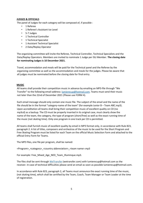#### **JUDGES & OFFICIALS**

The panel of Judges for each category will be composed of, if possible :

- 1 Referee
- 1 Referee's Assistant Ice Level
- 5-7 Judges
- 1 Technical Controller
- 1 Technical Specialist
- 1 Assistant Technical Specialist
- 2 Data/Replay Operator

The organizing committee will invite the Referee, Technical Controller, Technical Specialists and the Data/Replay Operators. Members are invited to nominate 1 Judge per ISU Member. **The closing date for nominating Judges is 10 December 2021.**

Travel, accommodation and meals will be paid for the Technical panel and the Referee by the organizing committee as well as the accommodation and meals for the judges. Please be aware that all judges must be nominated before the closing date for final entry.

#### **MUSIC**

All teams shall provide their competition music in advance by emailing an MP3-file through "We Transfer" to the following email-address[: lumierecup@hotmail.com.](mailto:lumierecup@hotmail.com) Teams must send their music not later than the 22nd of December 2021 (Please use FORM 4).

Each email message should only contain one music file. The subject of the email and the name of the file should be in the format "category-name of the team" (for example Junior B – Team ABC.mp3). Upon accreditation all teams shall bring their competition music of excellent quality on CD (no mp3cd) as a backup. The CD must be properly inserted in its original case, must clearly show the name of the team, the category, the type of program (short/free) as well as the exact running time of the music (not skating time). Only one program in one track per CD is permitted.

All teams shall furnish music of excellent quality by email in MP3 format only, in accordance with Rule 823, paragraph 2. A list of titles, composers and orchestras of the music to be used for the Short Program and Free Skating Program must be listed for each Team on the official Music Selection Form and attached to the official Entry Form for Teams.

The MP3 files, one file per program, shall be named:

<Program>\_<category>\_<country abbreviation>\_<team name>.mp3

For example: Free\_Mixed\_Age\_NED\_Team\_Illuminque.mp3.

The files shall be sent throug[h WeTransfer](https://wetransfer.com/) (wetransfer.com) with lumierecup@hotmail.com as the receiver. In case of technical difficulties please send an email as soon as possible lumierecup@hotmail.com.

In accordance with Rule 823, paragraph 2, all Teams must announce the exact running time of the music, (not skating time), which shall be certified by the Team, Coach, Team Manager or Team Leader at the time of registration.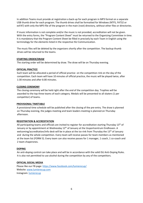In addition Teams must provide at registration a back-up for each program in MP3 format on a separate USB thumb drive for each program. The thumb drives shall be formatted for Windows (NTFS, FAT32 or exFAT) with only the MP3 file of the program in the main (root) directory, without other files or directories.

If music information is not complete and/or the music is not provided, accreditation will not be given. With the entry forms, the "Program Content Sheet" must be returned to the Organizing Committee in time. It is mandatory that the Program Content Sheet be filled in precisely by each Team in English using the terminology for the elements listed in the respective ISU Communication.

The music files will be deleted by the organizers shortly after the competition. The backup thumb drives will be returned to the teams.

#### **STARTING ORDER/DRAW**

The starting order will be determined by draw. The draw will be on Thursday evening.

#### **OFFICIAL PRACTICE**

Each team will be allocated a period of official practice on the competition rink on the day of the competition. Each team will have 10 minutes of official practice, the music will be played twice, after 1:30 minutes and after 6:00 minutes.

#### **CLOSING CEREMONY**

The closing ceremony will be held right after the end of the competition day. Trophies will be awarded to the top three teams of each category. Medals will be presented to all skaters (1 per competitor) of teams.

#### **PROVISIONAL TIMETABLE**

A provisional time schedule will be published after the closing of the pre-entry. The draw is planned on Thursday evening, the judges meeting and team leaders meeting is planned on Thursday afternoon.

#### **REGISTRATION & ACCREDITATION**

All participating teams and officials are invited to register for accreditation starting Thursday 13<sup>th</sup> of January or by appointment at Wednesday 12<sup>th</sup> of January at the IJssportcentrum Eindhoven. A welcoming/accreditation/info desk will be in place at the ice rink from Thursday the 13<sup>th</sup> of January and during the whole competition. Every team will receive passes for team members as mentioned at the team list (FORM 3). Every team can also receive passes for 1 manager, 1 coach, 1 co-coach and 2 team chaperones.

#### **DOPING**

An anti-doping control can take place and will be in accordance with the valid ISU Anti-Doping Rules. It is also not permitted to use alcohol during the competition by any of the competitors.

#### **OFFICIAL SOCIAL MEDIA**

Please like our FB page:<https://www.facebook.com/lumierecup/> Website: [www.lumierecup.com](http://www.lumierecup.com/) Instagram[: lumierecup](https://www.instagram.com/lumierecup/?hl=nl)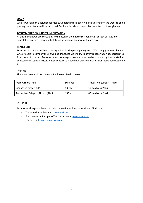#### **MEALS**

We are working on a solution for meals. Updated information will be published on the website and all pre-registered teams will be informed. For inquiries about meals please contact us through email.

#### **ACCOMMODATION & HOTEL INFORMATION**

At this moment we are consulting with hotels in the nearby surroundings for special rates and cancelation policies. There are hotels within walking distance of the ice rink.

#### **TRANSPORT**

Transport to the ice rink has to be organised by the participating team. We strongly advise all team who are able to come by their own bus. If needed we will try to offer transportation at special rates from hotels to ice rink. Transportation from airport to your hotel can be provided by transportation companies for special prices. Please contact us if you have any requests for transportation (Appendix A).

#### BY PLANE

There are several airports nearby Eindhoven. See list below:

| From Airport - Rink              | Distance | Travel time (airport - rink) |
|----------------------------------|----------|------------------------------|
| Eindhoven Airport (EIN)          | 10 km    | 13 min by car/taxi           |
| Amsterdam Schiphol Airport (AMS) | 135 km   | 83 min by car/taxi           |

#### BY TRAIN

From several airports there is a train connection or bus connection to Eindhoven

- Trains in the Netherlands: [www.9292.nl](http://www.9292.nl/)
- For trains from Europe to The Netherlands[: www.goeuro.nl](http://www.goeuro.nl/)
- For busses[: https://www.flixbus.nl/](https://www.flixbus.nl/)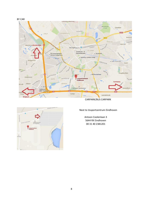



CARPARK/BUS CARPARK



Next to IJssportcentrum Eindhoven

Antoon Coolenlaan 3 5644 RX Eindhoven 00 31 40 2381201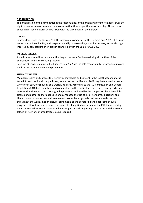#### **ORGANISATION**

The organisation of the competition is the responsibility of the organizing committee. It reserves the right to take any measures necessary to ensure that the competition runs smoothly. All decisions concerning such measures will be taken with the agreement of the Referee.

#### **LIABILITY**

In accordance with the ISU rule 119, the organizing committee of the Lumière Cup 2022 will assume no responsibility or liability with respect to bodily or personal injury or for property loss or damage incurred by competitors or officials in connection with the Lumière Cup 2022.

#### **MEDICAL SERVICE**

A medical service will be on duty at the IJssportcentrum Eindhoven during all the time of the competition and at the official practices.

Each member participating in the Lumière Cup 2022 has the sole responsibility for providing its own medical and accident insurance protection.

#### **PUBLICITY WAIVER**

Members, teams and competitors hereby acknowledge and consent to the fact that team photos, team info and results will be published, as well as the Lumière Cup 2022 may be televised either in whole or in part, for showing on a worldwide basis. According to the ISU Constitution and General Regulations 2018 both members and competitors (in this particular case, teams) hereby certify and warrant that the music and choreography presented and used by the competitors have been fully cleared and authorized for public use and consent to the use of his or her name, biography and likeness on or in connection with any television or radio program broadcast and re-broadcast throughout the world, motion picture, print media or the advertising and publicizing of such program, without further clearance or payments of any kind on the site of the ISU, the organizing member Koninklijke Nederlandsche Schaatsenrijders Bond, Organizing Committee and the relevant television network or broadcasters being required.